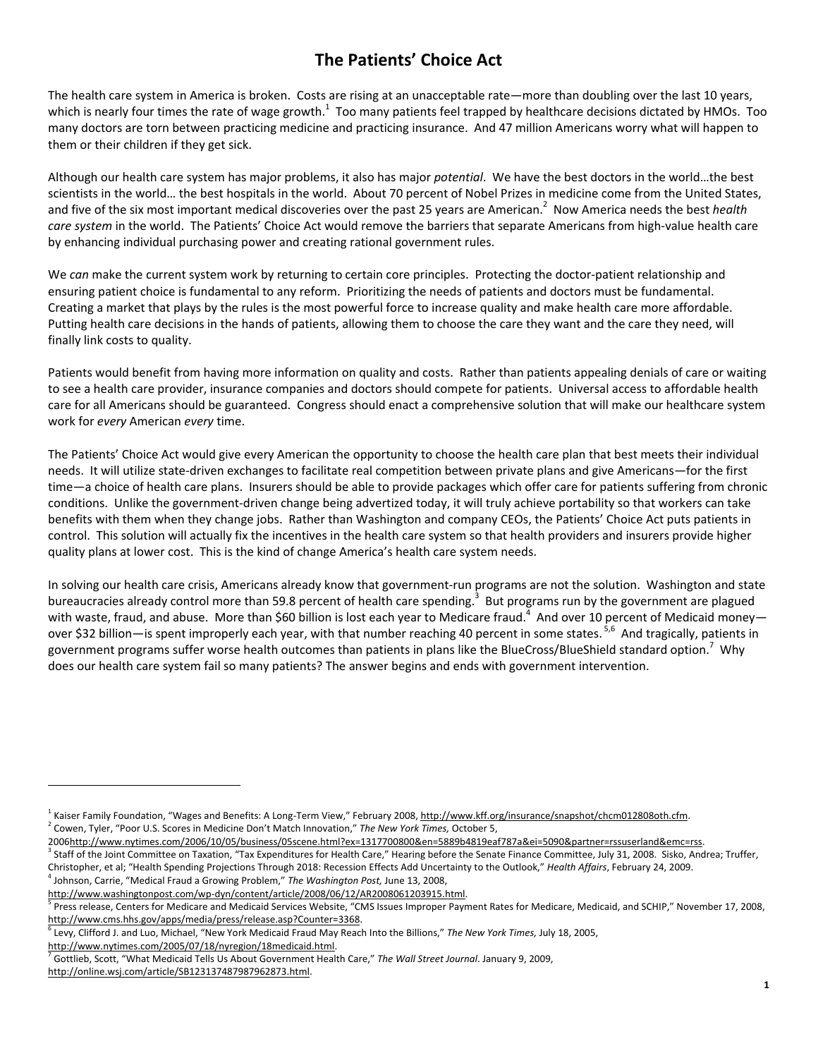# **The Patients' Choice Act**

The health care system in America is broken. Costs are rising at an unacceptable rate—more than doubling over the last 10 years, which is nearly four times the rate of wage growth.<sup>1</sup> Too many patients feel trapped by healthcare decisions dictated by HMOs. Too many doctors are torn between practicing medicine and practicing insurance. And 47 million Americans worry what will happen to them or their children if they get sick.

Although our health care system has major problems, it also has major *potential*. We have the best doctors in the world…the best scientists in the world… the best hospitals in the world. About 70 percent of Nobel Prizes in medicine come from the United States, and five of the six most important medical discoveries over the past 25 years are American.<sup>2</sup> Now America needs the best *health care system* in the world. The Patients' Choice Act would remove the barriers that separate Americans from high-value health care by enhancing individual purchasing power and creating rational government rules.

We *can* make the current system work by returning to certain core principles. Protecting the doctor-patient relationship and ensuring patient choice is fundamental to any reform. Prioritizing the needs of patients and doctors must be fundamental. Creating a market that plays by the rules is the most powerful force to increase quality and make health care more affordable. Putting health care decisions in the hands of patients, allowing them to choose the care they want and the care they need, will finally link costs to quality.

Patients would benefit from having more information on quality and costs. Rather than patients appealing denials of care or waiting to see a health care provider, insurance companies and doctors should compete for patients. Universal access to affordable health care for all Americans should be guaranteed. Congress should enact a comprehensive solution that will make our healthcare system work for *every* American *every* time.

The Patients' Choice Act would give every American the opportunity to choose the health care plan that best meets their individual needs. It will utilize state‐driven exchanges to facilitate real competition between private plans and give Americans—for the first time—a choice of health care plans. Insurers should be able to provide packages which offer care for patients suffering from chronic conditions. Unlike the government‐driven change being advertized today, it will truly achieve portability so that workers can take benefits with them when they change jobs. Rather than Washington and company CEOs, the Patients' Choice Act puts patients in control. This solution will actually fix the incentives in the health care system so that health providers and insurers provide higher quality plans at lower cost. This is the kind of change America's health care system needs.

In solving our health care crisis, Americans already know that government-run programs are not the solution. Washington and state bureaucracies already control more than 59.8 percent of health care spending.<sup>3</sup> But programs run by the government are plagued with waste, fraud, and abuse. More than \$60 billion is lost each year to Medicare fraud.<sup>4</sup> And over 10 percent of Medicaid money over \$32 billion—is spent improperly each year, with that number reaching 40 percent in some states. <sup>5,6</sup> And tragically, patients in government programs suffer worse health outcomes than patients in plans like the BlueCross/BlueShield standard option.<sup>7</sup> Why does our health care system fail so many patients? The answer begins and ends with government intervention.

<sup>&</sup>lt;sup>1</sup> Kaiser Family Foundation, "Wages and Benefits: A Long-Term View," February 2008, http://www.kff.org/insurance/snapshot/chcm012808oth.cfm.<br><sup>2</sup> Cause Tules "Peas U.S. Sease in Medicine Den't Match Insousting "The Nau Yor <sup>2</sup> Cowen, Tyler, "Poor U.S. Scores in Medicine Don't Match Innovation," The New York Times, October 5,

<sup>2006</sup>http://www.nytimes.com/2006/10/05/business/05scene.html?ex=1317700800&en=5889b4819eaf787a&ei=5090&partner=rssuserland&emc=rss. 3

<sup>&</sup>lt;sup>3</sup> Staff of the Joint Committee on Taxation, "Tax Expenditures for Health Care," Hearing before the Senate Finance Committee, July 31, 2008. Sisko, Andrea; Truffer, Christopher, et al; "Health Spending Projections Through 2018: Recession Effects Add Uncertainty to the Outlook," *Health Affairs*, February 24, 2009. 4 Johnson, Carrie, "Medical Fraud a Growing Problem," *The Washington Post,* June 13, 2008,

http://www.washingtonpost.com/wp-dyn/content/article/2008/06/12/AR2008061203915.html.

 $^5$  Press release, Centers for Medicare and Medicaid Services Website, "CMS Issues Improper Payment Rates for Medicare, Medicaid, and SCHIP," November 17, 2008, http://www.cms.hhs.gov/apps/media/press/release.asp?Counter=3368.

Levy, Clifford J. and Luo, Michael, "New York Medicaid Fraud May Reach Into the Billions," *The New York Times,* July 18, 2005,

http://www.nytimes.com/2005/07/18/nyregion/18medicaid.html.

Gottlieb, Scott, "What Medicaid Tells Us About Government Health Care," *The Wall Street Journal*. January 9, 2009,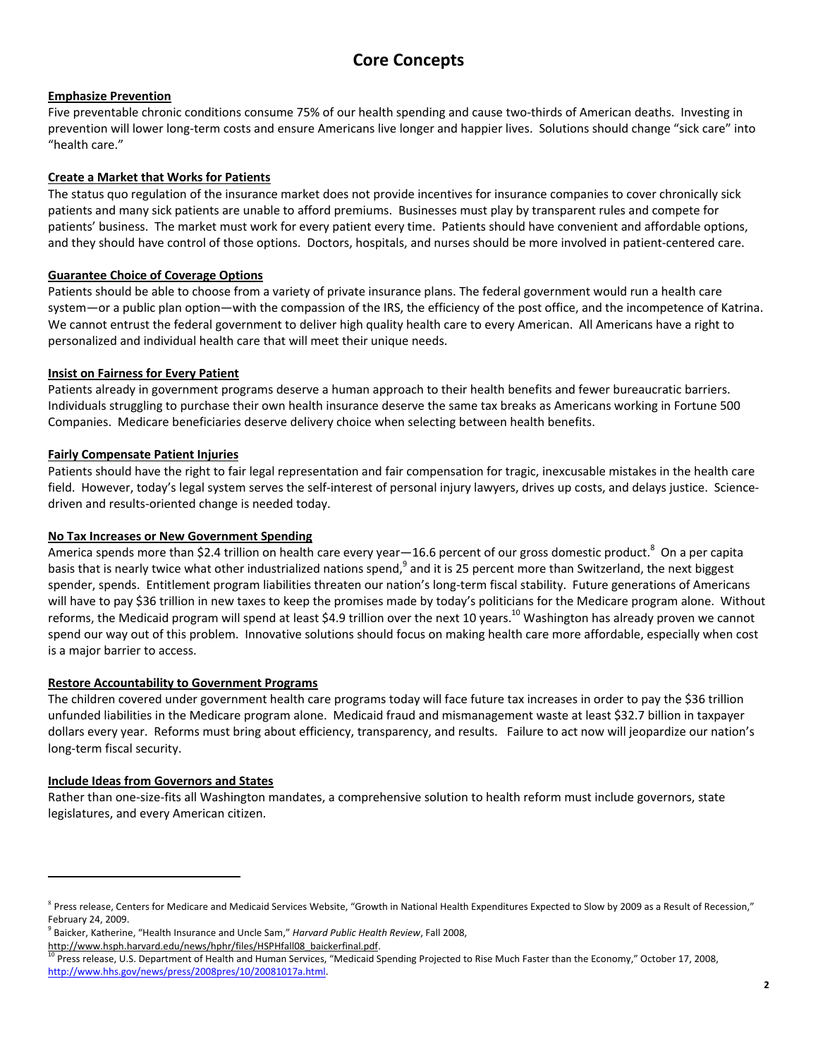# **Core Concepts**

### **Emphasize Prevention**

Five preventable chronic conditions consume 75% of our health spending and cause two-thirds of American deaths. Investing in prevention will lower long‐term costs and ensure Americans live longer and happier lives. Solutions should change "sick care" into "health care."

### **Create a Market that Works for Patients**

The status quo regulation of the insurance market does not provide incentives for insurance companies to cover chronically sick patients and many sick patients are unable to afford premiums. Businesses must play by transparent rules and compete for patients' business. The market must work for every patient every time. Patients should have convenient and affordable options, and they should have control of those options. Doctors, hospitals, and nurses should be more involved in patient-centered care.

### **Guarantee Choice of Coverage Options**

Patients should be able to choose from a variety of private insurance plans. The federal government would run a health care system—or a public plan option—with the compassion of the IRS, the efficiency of the post office, and the incompetence of Katrina. We cannot entrust the federal government to deliver high quality health care to every American. All Americans have a right to personalized and individual health care that will meet their unique needs.

### **Insist on Fairness for Every Patient**

Patients already in government programs deserve a human approach to their health benefits and fewer bureaucratic barriers. Individuals struggling to purchase their own health insurance deserve the same tax breaks as Americans working in Fortune 500 Companies. Medicare beneficiaries deserve delivery choice when selecting between health benefits.

### **Fairly Compensate Patient Injuries**

Patients should have the right to fair legal representation and fair compensation for tragic, inexcusable mistakes in the health care field. However, today's legal system serves the self-interest of personal injury lawyers, drives up costs, and delays justice. Sciencedriven and results‐oriented change is needed today.

### **No Tax Increases or New Government Spending**

America spends more than \$2.4 trillion on health care every year—16.6 percent of our gross domestic product.<sup>8</sup> On a per capita basis that is nearly twice what other industrialized nations spend,<sup>9</sup> and it is 25 percent more than Switzerland, the next biggest spender, spends. Entitlement program liabilities threaten our nation's long‐term fiscal stability. Future generations of Americans will have to pay \$36 trillion in new taxes to keep the promises made by today's politicians for the Medicare program alone. Without reforms, the Medicaid program will spend at least \$4.9 trillion over the next 10 years.<sup>10</sup> Washington has already proven we cannot spend our way out of this problem. Innovative solutions should focus on making health care more affordable, especially when cost is a major barrier to access.

#### **Restore Accountability to Government Programs**

The children covered under government health care programs today will face future tax increases in order to pay the \$36 trillion unfunded liabilities in the Medicare program alone. Medicaid fraud and mismanagement waste at least \$32.7 billion in taxpayer dollars every year. Reforms must bring about efficiency, transparency, and results. Failure to act now will jeopardize our nation's long‐term fiscal security.

#### **Include Ideas from Governors and States**

 $\overline{a}$ 

Rather than one‐size‐fits all Washington mandates, a comprehensive solution to health reform must include governors, state legislatures, and every American citizen.

<sup>&</sup>lt;sup>8</sup> Press release, Centers for Medicare and Medicaid Services Website, "Growth in National Health Expenditures Expected to Slow by 2009 as a Result of Recession," February 24, 2009.

<sup>9</sup> Baicker, Katherine, "Health Insurance and Uncle Sam," *Harvard Public Health Review*, Fall 2008,

http://www.hsph.harvard.edu/news/hphr/files/HSPHfall08 baickerfinal.pdf. 10 Press release, U.S. Department of Health and Human Services, "Medicaid Spending Projected to Rise Much Faster than the Economy," October 17, 2008, http://www.hhs.gov/news/press/2008pres/10/20081017a.html.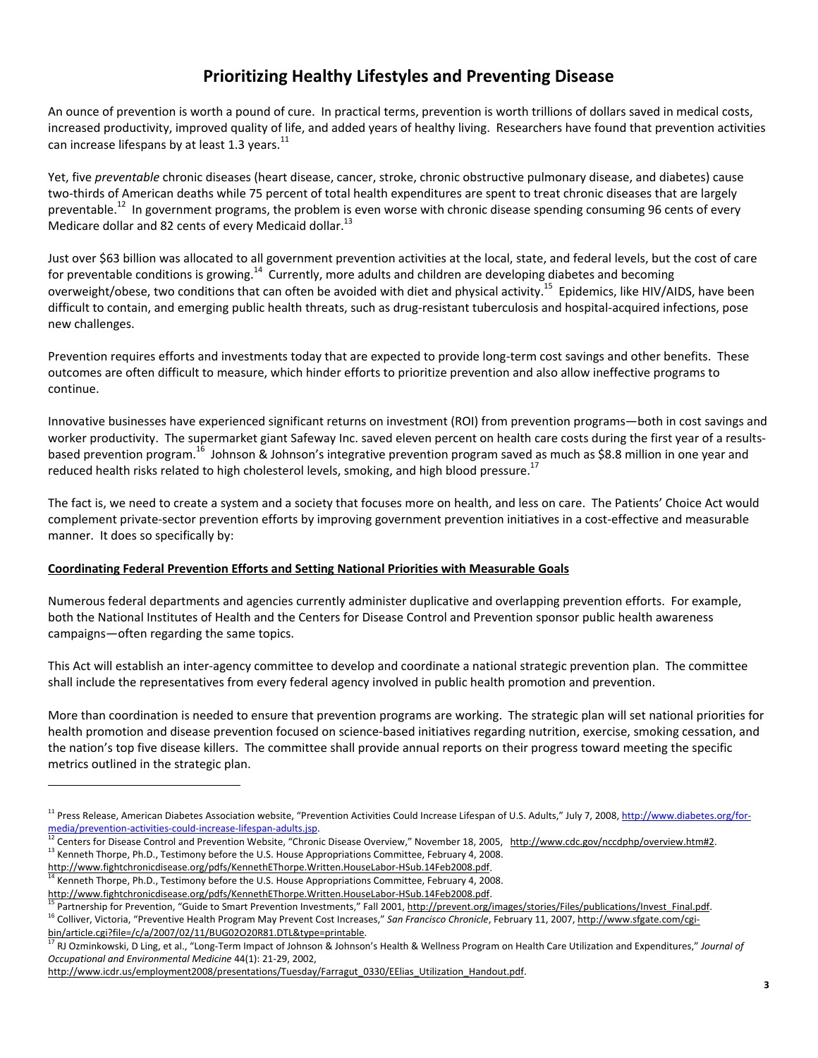# **Prioritizing Healthy Lifestyles and Preventing Disease**

An ounce of prevention is worth a pound of cure. In practical terms, prevention is worth trillions of dollars saved in medical costs, increased productivity, improved quality of life, and added years of healthy living. Researchers have found that prevention activities can increase lifespans by at least 1.3 years. $^{11}$ 

Yet, five *preventable* chronic diseases (heart disease, cancer, stroke, chronic obstructive pulmonary disease, and diabetes) cause two‐thirds of American deaths while 75 percent of total health expenditures are spent to treat chronic diseases that are largely preventable.<sup>12</sup> In government programs, the problem is even worse with chronic disease spending consuming 96 cents of every Medicare dollar and 82 cents of every Medicaid dollar.<sup>13</sup>

Just over \$63 billion was allocated to all government prevention activities at the local, state, and federal levels, but the cost of care for preventable conditions is growing.<sup>14</sup> Currently, more adults and children are developing diabetes and becoming overweight/obese, two conditions that can often be avoided with diet and physical activity.<sup>15</sup> Epidemics, like HIV/AIDS, have been difficult to contain, and emerging public health threats, such as drug-resistant tuberculosis and hospital-acquired infections, pose new challenges.

Prevention requires efforts and investments today that are expected to provide long-term cost savings and other benefits. These outcomes are often difficult to measure, which hinder efforts to prioritize prevention and also allow ineffective programs to continue.

Innovative businesses have experienced significant returns on investment (ROI) from prevention programs—both in cost savings and worker productivity. The supermarket giant Safeway Inc. saved eleven percent on health care costs during the first year of a resultsbased prevention program.16 Johnson & Johnson's integrative prevention program saved as much as \$8.8 million in one year and reduced health risks related to high cholesterol levels, smoking, and high blood pressure.<sup>17</sup>

The fact is, we need to create a system and a society that focuses more on health, and less on care. The Patients' Choice Act would complement private-sector prevention efforts by improving government prevention initiatives in a cost-effective and measurable manner. It does so specifically by:

#### **Coordinating Federal Prevention Efforts and Setting National Priorities with Measurable Goals**

Numerous federal departments and agencies currently administer duplicative and overlapping prevention efforts. For example, both the National Institutes of Health and the Centers for Disease Control and Prevention sponsor public health awareness campaigns—often regarding the same topics.

This Act will establish an inter‐agency committee to develop and coordinate a national strategic prevention plan. The committee shall include the representatives from every federal agency involved in public health promotion and prevention.

More than coordination is needed to ensure that prevention programs are working. The strategic plan will set national priorities for health promotion and disease prevention focused on science-based initiatives regarding nutrition, exercise, smoking cessation, and the nation's top five disease killers. The committee shall provide annual reports on their progress toward meeting the specific metrics outlined in the strategic plan.

 $\overline{a}$ 

http://www.fightchronicdisease.org/pdfs/KennethEThorpe.Written.HouseLabor-HSub.14Feb2008.pdf.<br><sup>15</sup> Partnership for Prevention, "Guide to Smart Prevention Investments," Fall 2001, <u>http://prevent.org/images/stories/Files/pu</u>

<sup>&</sup>lt;sup>11</sup> Press Release, American Diabetes Association website, "Prevention Activities Could Increase Lifespan of U.S. Adults," July 7, 2008, http://www.diabetes.org/for-<br>media/prevention-activities-could-increase-lifespan-adul

 $^{12}$  Centers for Disease Control and Prevention Website, "Chronic Disease Overview," November 18, 2005, http://www.cdc.gov/nccdphp/overview.htm#2.<br><sup>13</sup> Kenneth Thorpe, Ph.D., Testimony before the U.S. House Appropriatio

Kenneth Thorpe, Ph.D., Testimony before the U.S. House Appropriations Committee, February 4, 2008.

RJ Ozminkowski, D Ling, et al., "Long-Term Impact of Johnson & Johnson's Health & Wellness Program on Health Care Utilization and Expenditures," Journal of *Occupational and Environmental Medicine* 44(1): 21‐29, 2002,

http://www.icdr.us/employment2008/presentations/Tuesday/Farragut\_0330/EElias\_Utilization\_Handout.pdf.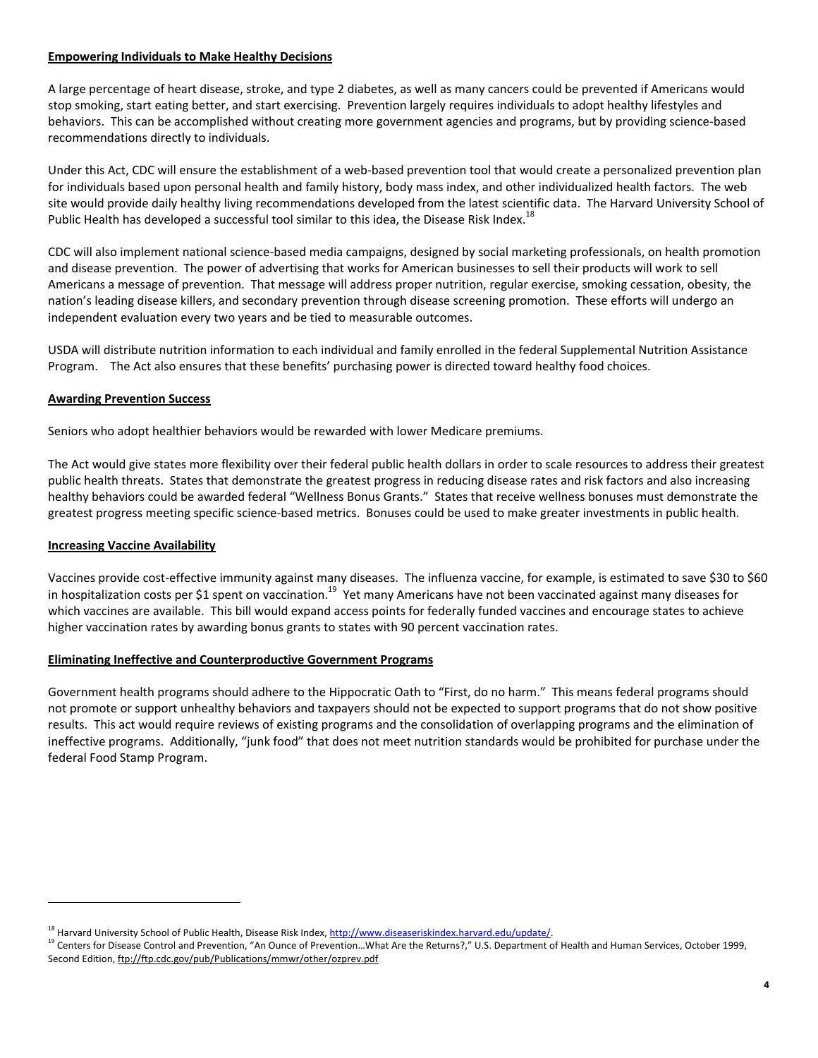#### **Empowering Individuals to Make Healthy Decisions**

A large percentage of heart disease, stroke, and type 2 diabetes, as well as many cancers could be prevented if Americans would stop smoking, start eating better, and start exercising. Prevention largely requires individuals to adopt healthy lifestyles and behaviors. This can be accomplished without creating more government agencies and programs, but by providing science‐based recommendations directly to individuals.

Under this Act, CDC will ensure the establishment of a web‐based prevention tool that would create a personalized prevention plan for individuals based upon personal health and family history, body mass index, and other individualized health factors. The web site would provide daily healthy living recommendations developed from the latest scientific data. The Harvard University School of Public Health has developed a successful tool similar to this idea, the Disease Risk Index.<sup>18</sup>

CDC will also implement national science‐based media campaigns, designed by social marketing professionals, on health promotion and disease prevention. The power of advertising that works for American businesses to sell their products will work to sell Americans a message of prevention. That message will address proper nutrition, regular exercise, smoking cessation, obesity, the nation's leading disease killers, and secondary prevention through disease screening promotion. These efforts will undergo an independent evaluation every two years and be tied to measurable outcomes.

USDA will distribute nutrition information to each individual and family enrolled in the federal Supplemental Nutrition Assistance Program. The Act also ensures that these benefits' purchasing power is directed toward healthy food choices.

#### **Awarding Prevention Success**

Seniors who adopt healthier behaviors would be rewarded with lower Medicare premiums.

The Act would give states more flexibility over their federal public health dollars in order to scale resources to address their greatest public health threats. States that demonstrate the greatest progress in reducing disease rates and risk factors and also increasing healthy behaviors could be awarded federal "Wellness Bonus Grants." States that receive wellness bonuses must demonstrate the greatest progress meeting specific science‐based metrics. Bonuses could be used to make greater investments in public health.

#### **Increasing Vaccine Availability**

 $\overline{a}$ 

Vaccines provide cost‐effective immunity against many diseases. The influenza vaccine, for example, is estimated to save \$30 to \$60 in hospitalization costs per \$1 spent on vaccination.<sup>19</sup> Yet many Americans have not been vaccinated against many diseases for which vaccines are available. This bill would expand access points for federally funded vaccines and encourage states to achieve higher vaccination rates by awarding bonus grants to states with 90 percent vaccination rates.

### **Eliminating Ineffective and Counterproductive Government Programs**

Government health programs should adhere to the Hippocratic Oath to "First, do no harm." This means federal programs should not promote or support unhealthy behaviors and taxpayers should not be expected to support programs that do not show positive results. This act would require reviews of existing programs and the consolidation of overlapping programs and the elimination of ineffective programs. Additionally, "junk food" that does not meet nutrition standards would be prohibited for purchase under the federal Food Stamp Program.

<sup>&</sup>lt;sup>18</sup> Harvard University School of Public Health, Disease Risk Index, <u>http://www.diseaseriskindex.harvard.edu/update/</u>.<br><sup>19</sup> Centers for Disease Control and Prevention, "An Ounce of Prevention...What Are the Returns?," U.S Second Edition, ftp://ftp.cdc.gov/pub/Publications/mmwr/other/ozprev.pdf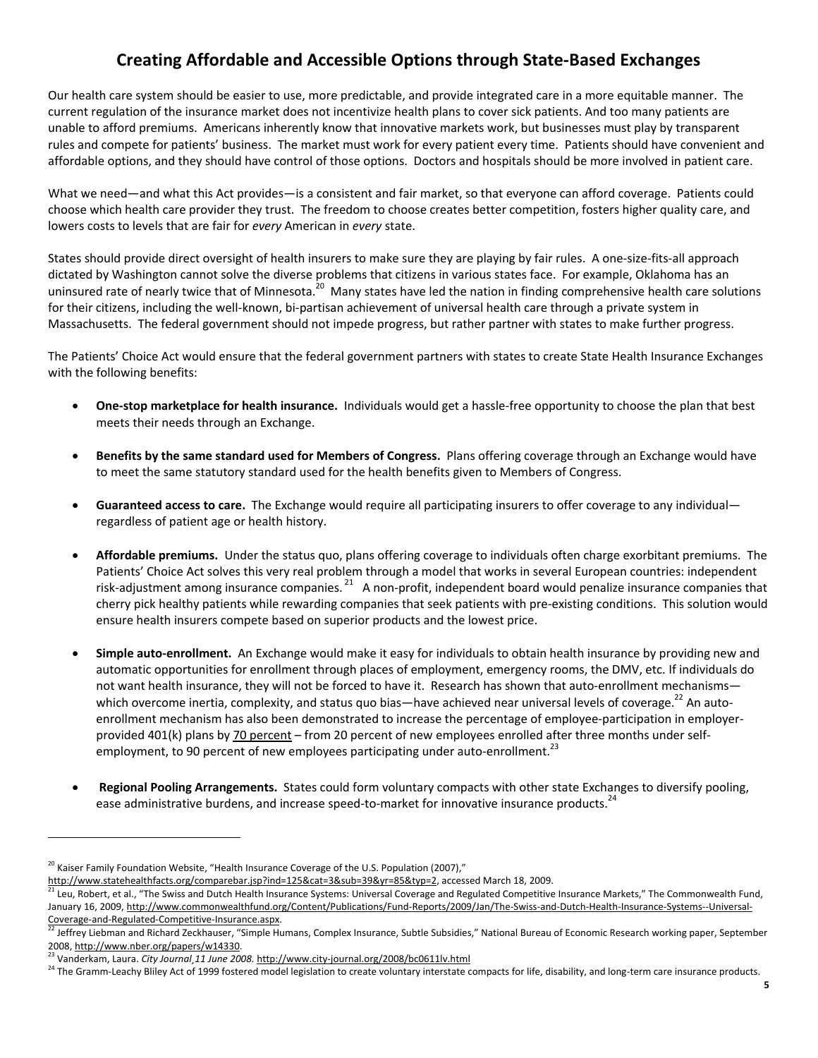# **Creating Affordable and Accessible Options through State‐Based Exchanges**

Our health care system should be easier to use, more predictable, and provide integrated care in a more equitable manner. The current regulation of the insurance market does not incentivize health plans to cover sick patients. And too many patients are unable to afford premiums. Americans inherently know that innovative markets work, but businesses must play by transparent rules and compete for patients' business. The market must work for every patient every time. Patients should have convenient and affordable options, and they should have control of those options. Doctors and hospitals should be more involved in patient care.

What we need—and what this Act provides—is a consistent and fair market, so that everyone can afford coverage. Patients could choose which health care provider they trust. The freedom to choose creates better competition, fosters higher quality care, and lowers costs to levels that are fair for *every* American in *every* state.

States should provide direct oversight of health insurers to make sure they are playing by fair rules. A one-size-fits-all approach dictated by Washington cannot solve the diverse problems that citizens in various states face. For example, Oklahoma has an uninsured rate of nearly twice that of Minnesota.<sup>20</sup> Many states have led the nation in finding comprehensive health care solutions for their citizens, including the well-known, bi-partisan achievement of universal health care through a private system in Massachusetts. The federal government should not impede progress, but rather partner with states to make further progress.

The Patients' Choice Act would ensure that the federal government partners with states to create State Health Insurance Exchanges with the following benefits:

- **One‐stop marketplace for health insurance.** Individuals would get a hassle‐free opportunity to choose the plan that best meets their needs through an Exchange.
- **Benefits by the same standard used for Members of Congress.** Plans offering coverage through an Exchange would have to meet the same statutory standard used for the health benefits given to Members of Congress.
- **Guaranteed access to care.** The Exchange would require all participating insurers to offer coverage to any individual regardless of patient age or health history.
- **Affordable premiums.** Under the status quo, plans offering coverage to individuals often charge exorbitant premiums. The Patients' Choice Act solves this very real problem through a model that works in several European countries: independent risk-adjustment among insurance companies.<sup>21</sup> A non-profit, independent board would penalize insurance companies that cherry pick healthy patients while rewarding companies that seek patients with pre‐existing conditions. This solution would ensure health insurers compete based on superior products and the lowest price.
- **Simple auto‐enrollment.** An Exchange would make it easy for individuals to obtain health insurance by providing new and automatic opportunities for enrollment through places of employment, emergency rooms, the DMV, etc. If individuals do not want health insurance, they will not be forced to have it. Research has shown that auto-enrollment mechanisms which overcome inertia, complexity, and status quo bias—have achieved near universal levels of coverage.<sup>22</sup> An autoenrollment mechanism has also been demonstrated to increase the percentage of employee-participation in employerprovided 401(k) plans by 70 percent – from 20 percent of new employees enrolled after three months under selfemployment, to 90 percent of new employees participating under auto-enrollment.<sup>23</sup>
- **Regional Pooling Arrangements.** States could form voluntary compacts with other state Exchanges to diversify pooling, ease administrative burdens, and increase speed-to-market for innovative insurance products.<sup>24</sup>

 $^{20}$  Kaiser Family Foundation Website, "Health Insurance Coverage of the U.S. Population (2007),"

http://www.statehealthfacts.org/comparebar.jsp?ind=125&cat=3&sub=39&yr=85&typ=2, accessed March 18, 2009.<br><sup>21</sup> Leu, Robert, et al., "The Swiss and Dutch Health Insurance Systems: Universal Coverage and Regulated Competitiv January 16, 2009, http://www.commonwealthfund.org/Content/Publications/Fund-Reports/2009/Jan/The-Swiss-and-Dutch-Health-Insurance-Systems--Universal-<br>Coverage-and-Regulated-Competitive-Insurance.aspx.

Jeffrey Liebman and Richard Zeckhauser, "Simple Humans, Complex Insurance, Subtle Subsidies," National Bureau of Economic Research working paper, September 2008, <u>http://www.nber.org/papers/w14330</u>.<br><sup>23</sup> Vanderkam, Laura. *City Journal 11 June 2008*. <u>http://www.city-journal.org/2008/bc0611lv.html</u><br><sup>24</sup> The Gramm-Leachy Bliley Act of 1999 fostered model legislation to create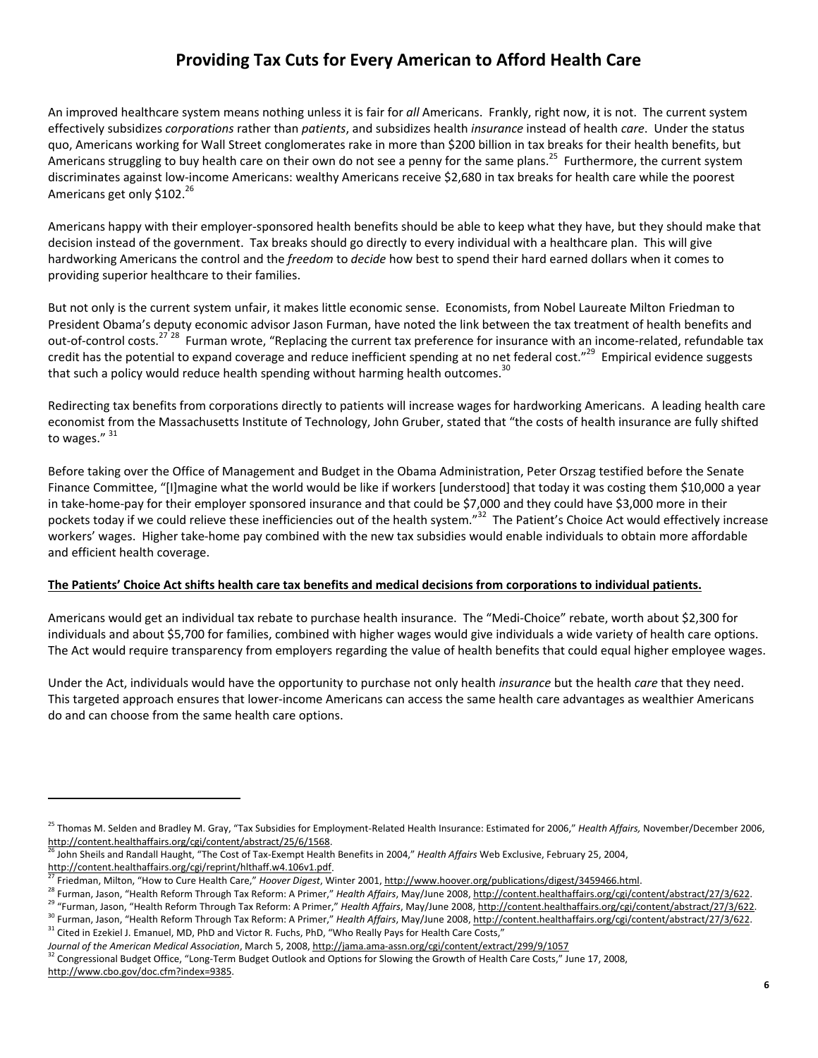# **Providing Tax Cuts for Every American to Afford Health Care**

An improved healthcare system means nothing unless it is fair for *all* Americans. Frankly, right now, it is not. The current system effectively subsidizes *corporations* rather than *patients*, and subsidizes health *insurance* instead of health *care*. Under the status quo, Americans working for Wall Street conglomerates rake in more than \$200 billion in tax breaks for their health benefits, but Americans struggling to buy health care on their own do not see a penny for the same plans.<sup>25</sup> Furthermore, the current system discriminates against low‐income Americans: wealthy Americans receive \$2,680 in tax breaks for health care while the poorest Americans get only \$102.<sup>26</sup>

Americans happy with their employer‐sponsored health benefits should be able to keep what they have, but they should make that decision instead of the government. Tax breaks should go directly to every individual with a healthcare plan. This will give hardworking Americans the control and the *freedom* to *decide* how best to spend their hard earned dollars when it comes to providing superior healthcare to their families.

But not only is the current system unfair, it makes little economic sense. Economists, from Nobel Laureate Milton Friedman to President Obama's deputy economic advisor Jason Furman, have noted the link between the tax treatment of health benefits and out-of-control costs.<sup>27 28</sup> Furman wrote, "Replacing the current tax preference for insurance with an income-related, refundable tax credit has the potential to expand coverage and reduce inefficient spending at no net federal cost."<sup>29</sup> Empirical evidence suggests that such a policy would reduce health spending without harming health outcomes. $30$ 

Redirecting tax benefits from corporations directly to patients will increase wages for hardworking Americans. A leading health care economist from the Massachusetts Institute of Technology, John Gruber, stated that "the costs of health insurance are fully shifted to wages." 31

Before taking over the Office of Management and Budget in the Obama Administration, Peter Orszag testified before the Senate Finance Committee, "[I]magine what the world would be like if workers [understood] that today it was costing them \$10,000 a year in take‐home‐pay for their employer sponsored insurance and that could be \$7,000 and they could have \$3,000 more in their pockets today if we could relieve these inefficiencies out of the health system."<sup>32</sup> The Patient's Choice Act would effectively increase workers' wages. Higher take‐home pay combined with the new tax subsidies would enable individuals to obtain more affordable and efficient health coverage.

#### **The Patients' Choice Act shifts health care tax benefits and medical decisions from corporations to individual patients.**

Americans would get an individual tax rebate to purchase health insurance. The "Medi‐Choice" rebate, worth about \$2,300 for individuals and about \$5,700 for families, combined with higher wages would give individuals a wide variety of health care options. The Act would require transparency from employers regarding the value of health benefits that could equal higher employee wages.

Under the Act, individuals would have the opportunity to purchase not only health *insurance* but the health *care* that they need. This targeted approach ensures that lower‐income Americans can access the same health care advantages as wealthier Americans do and can choose from the same health care options.

<sup>25</sup> Thomas M. Selden and Bradley M. Gray, "Tax Subsidies for Employment-Related Health Insurance: Estimated for 2006," *Health Affairs,* November/December 2006,<br>http://content.healthaffairs.org/cgi/content/abstract/25/6/156

<sup>&</sup>lt;sup>26</sup> John Sheils and Randall Haught, "The Cost of Tax-Exempt Health Benefits in 2004," *Health Affairs* Web Exclusive, February 25, 2004, http://content.healthaffairs.org/cgi/reprint/hlthaff.w4.106v1.pdf.

<sup>&</sup>lt;sup>27</sup> Friedman, Milton, "How to Cure Health Care," *Hoover Digest*, Winter 2001, <u>http://www.hoover.org/publications/digest/3459466.html</u>.<br><sup>28</sup> Furman, Jason, "Health Reform Through Tax Reform: A Primer," *Health Affairs*,

<sup>32</sup> Congressional Budget Office, "Long-Term Budget Outlook and Options for Slowing the Growth of Health Care Costs," June 17, 2008, http://www.cbo.gov/doc.cfm?index=9385.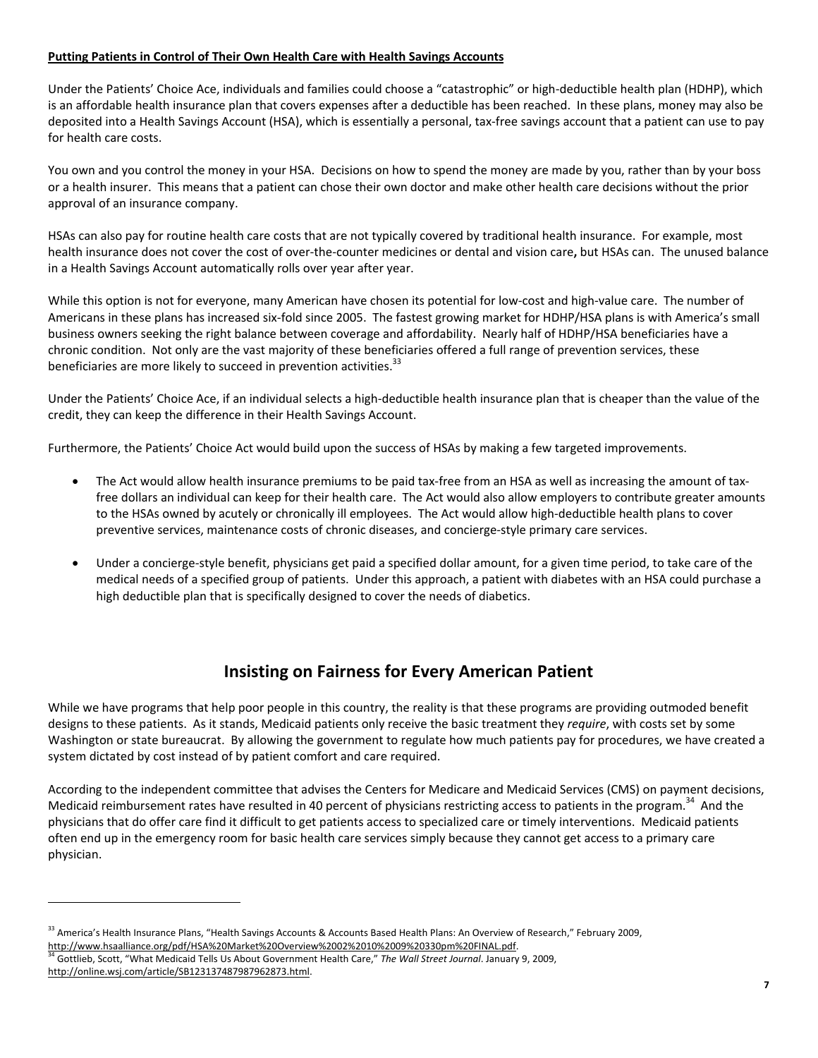#### **Putting Patients in Control of Their Own Health Care with Health Savings Accounts**

Under the Patients' Choice Ace, individuals and families could choose a "catastrophic" or high‐deductible health plan (HDHP), which is an affordable health insurance plan that covers expenses after a deductible has been reached. In these plans, money may also be deposited into a Health Savings Account (HSA), which is essentially a personal, tax‐free savings account that a patient can use to pay for health care costs.

You own and you control the money in your HSA. Decisions on how to spend the money are made by you, rather than by your boss or a health insurer. This means that a patient can chose their own doctor and make other health care decisions without the prior approval of an insurance company.

HSAs can also pay for routine health care costs that are not typically covered by traditional health insurance. For example, most health insurance does not cover the cost of over‐the‐counter medicines or dental and vision care**,** but HSAs can. The unused balance in a Health Savings Account automatically rolls over year after year.

While this option is not for everyone, many American have chosen its potential for low-cost and high-value care. The number of Americans in these plans has increased six‐fold since 2005. The fastest growing market for HDHP/HSA plans is with America's small business owners seeking the right balance between coverage and affordability. Nearly half of HDHP/HSA beneficiaries have a chronic condition. Not only are the vast majority of these beneficiaries offered a full range of prevention services, these beneficiaries are more likely to succeed in prevention activities.<sup>33</sup>

Under the Patients' Choice Ace, if an individual selects a high‐deductible health insurance plan that is cheaper than the value of the credit, they can keep the difference in their Health Savings Account.

Furthermore, the Patients' Choice Act would build upon the success of HSAs by making a few targeted improvements.

- The Act would allow health insurance premiums to be paid tax‐free from an HSA as well as increasing the amount of tax‐ free dollars an individual can keep for their health care. The Act would also allow employers to contribute greater amounts to the HSAs owned by acutely or chronically ill employees. The Act would allow high-deductible health plans to cover preventive services, maintenance costs of chronic diseases, and concierge‐style primary care services.
- Under a concierge-style benefit, physicians get paid a specified dollar amount, for a given time period, to take care of the medical needs of a specified group of patients. Under this approach, a patient with diabetes with an HSA could purchase a high deductible plan that is specifically designed to cover the needs of diabetics.

# **Insisting on Fairness for Every American Patient**

While we have programs that help poor people in this country, the reality is that these programs are providing outmoded benefit designs to these patients. As it stands, Medicaid patients only receive the basic treatment they *require*, with costs set by some Washington or state bureaucrat. By allowing the government to regulate how much patients pay for procedures, we have created a system dictated by cost instead of by patient comfort and care required.

According to the independent committee that advises the Centers for Medicare and Medicaid Services (CMS) on payment decisions, Medicaid reimbursement rates have resulted in 40 percent of physicians restricting access to patients in the program.<sup>34</sup> And the physicians that do offer care find it difficult to get patients access to specialized care or timely interventions. Medicaid patients often end up in the emergency room for basic health care services simply because they cannot get access to a primary care physician.

http://www.hsaalliance.org/pdf/HSA%20Market%20Overview%2002%2010%2009%20330pm%20FINAL.pdf. 34 Gottlieb, Scott, "What Medicaid Tells Us About Government Health Care," *The Wall Street Journal*. January 9, 2009,

<sup>&</sup>lt;sup>33</sup> America's Health Insurance Plans, "Health Savings Accounts & Accounts Based Health Plans: An Overview of Research," February 2009,

http://online.wsj.com/article/SB123137487987962873.html.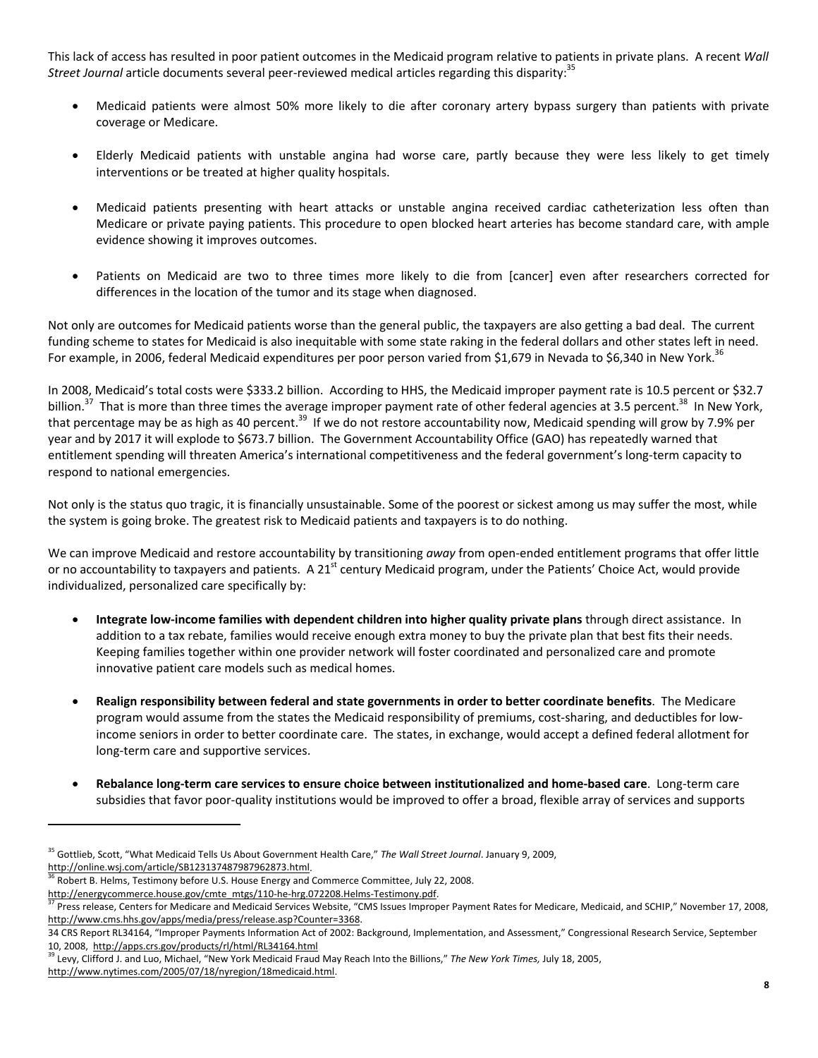This lack of access has resulted in poor patient outcomes in the Medicaid program relative to patients in private plans. A recent *Wall Street Journal* article documents several peer-reviewed medical articles regarding this disparity:<sup>35</sup>

- Medicaid patients were almost 50% more likely to die after coronary artery bypass surgery than patients with private coverage or Medicare.
- Elderly Medicaid patients with unstable angina had worse care, partly because they were less likely to get timely interventions or be treated at higher quality hospitals.
- Medicaid patients presenting with heart attacks or unstable angina received cardiac catheterization less often than Medicare or private paying patients. This procedure to open blocked heart arteries has become standard care, with ample evidence showing it improves outcomes.
- Patients on Medicaid are two to three times more likely to die from [cancer] even after researchers corrected for differences in the location of the tumor and its stage when diagnosed.

Not only are outcomes for Medicaid patients worse than the general public, the taxpayers are also getting a bad deal. The current funding scheme to states for Medicaid is also inequitable with some state raking in the federal dollars and other states left in need. For example, in 2006, federal Medicaid expenditures per poor person varied from \$1,679 in Nevada to \$6,340 in New York.<sup>36</sup>

In 2008, Medicaid's total costs were \$333.2 billion. According to HHS, the Medicaid improper payment rate is 10.5 percent or \$32.7 billion.<sup>37</sup> That is more than three times the average improper payment rate of other federal agencies at 3.5 percent.<sup>38</sup> In New York, that percentage may be as high as 40 percent.<sup>39</sup> If we do not restore accountability now, Medicaid spending will grow by 7.9% per year and by 2017 it will explode to \$673.7 billion. The Government Accountability Office (GAO) has repeatedly warned that entitlement spending will threaten America's international competitiveness and the federal government's long-term capacity to respond to national emergencies.

Not only is the status quo tragic, it is financially unsustainable. Some of the poorest or sickest among us may suffer the most, while the system is going broke. The greatest risk to Medicaid patients and taxpayers is to do nothing.

We can improve Medicaid and restore accountability by transitioning *away* from open-ended entitlement programs that offer little or no accountability to taxpayers and patients. A 21<sup>st</sup> century Medicaid program, under the Patients' Choice Act, would provide individualized, personalized care specifically by:

- **Integrate low‐income families with dependent children into higher quality private plans** through direct assistance. In addition to a tax rebate, families would receive enough extra money to buy the private plan that best fits their needs. Keeping families together within one provider network will foster coordinated and personalized care and promote innovative patient care models such as medical homes.
- **Realign responsibility between federal and state governments in order to better coordinate benefits**. The Medicare program would assume from the states the Medicaid responsibility of premiums, cost-sharing, and deductibles for lowincome seniors in order to better coordinate care. The states, in exchange, would accept a defined federal allotment for long‐term care and supportive services.
- **Rebalance long‐term care services to ensure choice between institutionalized and home‐based care**. Long‐term care subsidies that favor poor‐quality institutions would be improved to offer a broad, flexible array of services and supports

<sup>&</sup>lt;sup>35</sup> Gottlieb, Scott, "What Medicaid Tells Us About Government Health Care," *The Wall Street Journal*. January 9, 2009,<br>http://online.wsj.com/article/SB123137487987962873.html.

<sup>&</sup>lt;sup>36</sup> Robert B. Helms, Testimony before U.S. House Energy and Commerce Committee, July 22, 2008.

http://energycommerce.house.gov/cmte\_mtgs/110-he-hrg.072208.Helms-Testimony.pdf.<br><sup>37</sup> Press release, Centers for Medicare and Medicaid Services Website, "CMS Issues Improper Payment Rates for Medicare, Medicaid, and SCHIP, http://www.cms.hhs.gov/apps/media/press/release.asp?Counter=3368.

<sup>34</sup> CRS Report RL34164, "Improper Payments Information Act of 2002: Background, Implementation, and Assessment," Congressional Research Service, September 10, 2008, http://apps.crs.gov/products/rl/html/RL34164.html

<sup>39</sup> Levy, Clifford J. and Luo, Michael, "New York Medicaid Fraud May Reach Into the Billions," *The New York Times,* July 18, 2005,

http://www.nytimes.com/2005/07/18/nyregion/18medicaid.html.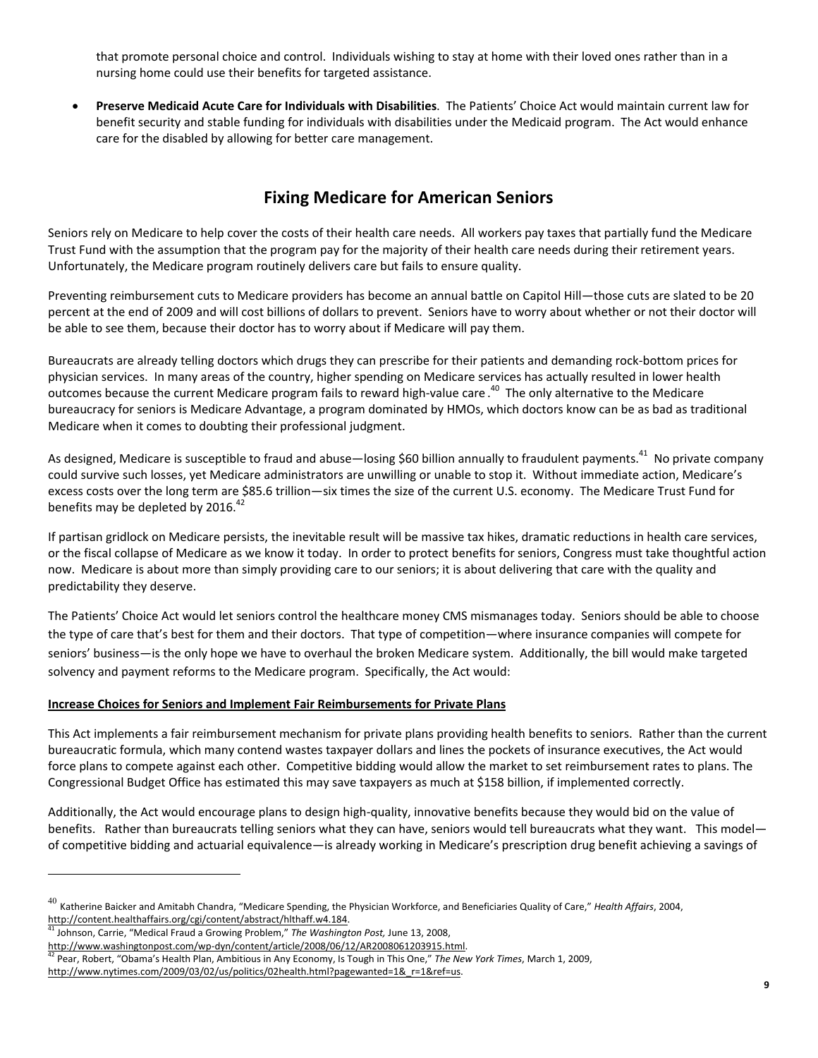that promote personal choice and control. Individuals wishing to stay at home with their loved ones rather than in a nursing home could use their benefits for targeted assistance.

• **Preserve Medicaid Acute Care for Individuals with Disabilities**. The Patients' Choice Act would maintain current law for benefit security and stable funding for individuals with disabilities under the Medicaid program. The Act would enhance care for the disabled by allowing for better care management.

# **Fixing Medicare for American Seniors**

Seniors rely on Medicare to help cover the costs of their health care needs. All workers pay taxes that partially fund the Medicare Trust Fund with the assumption that the program pay for the majority of their health care needs during their retirement years. Unfortunately, the Medicare program routinely delivers care but fails to ensure quality.

Preventing reimbursement cuts to Medicare providers has become an annual battle on Capitol Hill—those cuts are slated to be 20 percent at the end of 2009 and will cost billions of dollars to prevent. Seniors have to worry about whether or not their doctor will be able to see them, because their doctor has to worry about if Medicare will pay them.

Bureaucrats are already telling doctors which drugs they can prescribe for their patients and demanding rock‐bottom prices for physician services. In many areas of the country, higher spending on Medicare services has actually resulted in lower health outcomes because the current Medicare program fails to reward high-value care.<sup>40</sup> The only alternative to the Medicare bureaucracy for seniors is Medicare Advantage, a program dominated by HMOs, which doctors know can be as bad as traditional Medicare when it comes to doubting their professional judgment.

As designed, Medicare is susceptible to fraud and abuse—losing \$60 billion annually to fraudulent payments.<sup>41</sup> No private company could survive such losses, yet Medicare administrators are unwilling or unable to stop it. Without immediate action, Medicare's excess costs over the long term are \$85.6 trillion—six times the size of the current U.S. economy. The Medicare Trust Fund for benefits may be depleted by 2016.<sup>42</sup>

If partisan gridlock on Medicare persists, the inevitable result will be massive tax hikes, dramatic reductions in health care services, or the fiscal collapse of Medicare as we know it today. In order to protect benefits for seniors, Congress must take thoughtful action now. Medicare is about more than simply providing care to our seniors; it is about delivering that care with the quality and predictability they deserve.

The Patients' Choice Act would let seniors control the healthcare money CMS mismanages today. Seniors should be able to choose the type of care that's best for them and their doctors. That type of competition—where insurance companies will compete for seniors' business—is the only hope we have to overhaul the broken Medicare system. Additionally, the bill would make targeted solvency and payment reforms to the Medicare program. Specifically, the Act would:

### **Increase Choices for Seniors and Implement Fair Reimbursements for Private Plans**

This Act implements a fair reimbursement mechanism for private plans providing health benefits to seniors. Rather than the current bureaucratic formula, which many contend wastes taxpayer dollars and lines the pockets of insurance executives, the Act would force plans to compete against each other. Competitive bidding would allow the market to set reimbursement rates to plans. The Congressional Budget Office has estimated this may save taxpayers as much at \$158 billion, if implemented correctly.

Additionally, the Act would encourage plans to design high‐quality, innovative benefits because they would bid on the value of benefits. Rather than bureaucrats telling seniors what they can have, seniors would tell bureaucrats what they want. This model of competitive bidding and actuarial equivalence—is already working in Medicare's prescription drug benefit achieving a savings of

<sup>40</sup> Katherine Baicker and Amitabh Chandra, "Medicare Spending, the Physician Workforce, and Beneficiaries Quality of Care," *Health Affairs*, 2004, http://content.healthaffairs.org/cgi/content/abstract/hlthaff.w4.184. 41 Johnson, Carrie, "Medical Fraud a Growing Problem," *The Washington Post,* June 13, 2008,

http://www.washingtonpost.com/wp-dyn/content/article/2008/06/12/AR2008061203915.html.<br><sup>42</sup> Pear, Robert, "Obama's Health Plan, Ambitious in Any Economy, Is Tough in This One," *The New York Times*, March 1, 2009,

http://www.nytimes.com/2009/03/02/us/politics/02health.html?pagewanted=1& r=1&ref=us.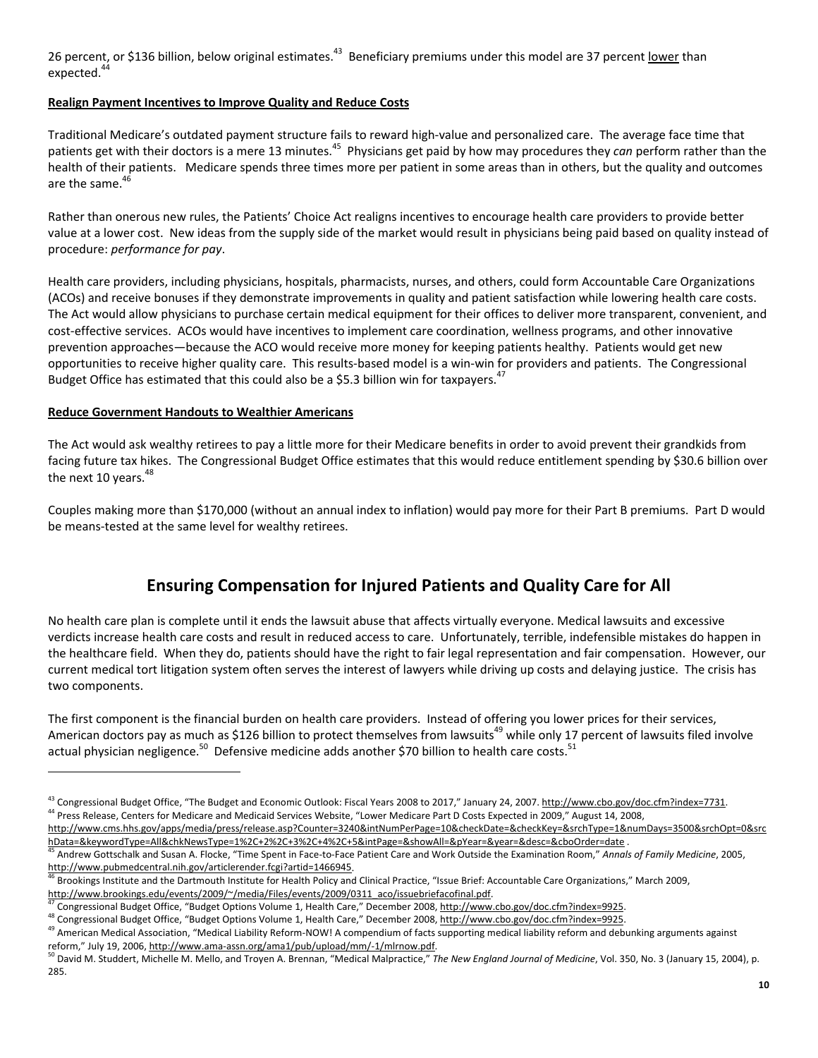26 percent, or \$136 billion, below original estimates.<sup>43</sup> Beneficiary premiums under this model are 37 percent lower than expected.<sup>4</sup>

### **Realign Payment Incentives to Improve Quality and Reduce Costs**

Traditional Medicare's outdated payment structure fails to reward high‐value and personalized care. The average face time that patients get with their doctors is a mere 13 minutes.<sup>45</sup> Physicians get paid by how may procedures they *can* perform rather than the health of their patients. Medicare spends three times more per patient in some areas than in others, but the quality and outcomes are the same.<sup>4</sup>

Rather than onerous new rules, the Patients' Choice Act realigns incentives to encourage health care providers to provide better value at a lower cost. New ideas from the supply side of the market would result in physicians being paid based on quality instead of procedure: *performance for pay*.

Health care providers, including physicians, hospitals, pharmacists, nurses, and others, could form Accountable Care Organizations (ACOs) and receive bonuses if they demonstrate improvements in quality and patient satisfaction while lowering health care costs. The Act would allow physicians to purchase certain medical equipment for their offices to deliver more transparent, convenient, and cost-effective services. ACOs would have incentives to implement care coordination, wellness programs, and other innovative prevention approaches—because the ACO would receive more money for keeping patients healthy. Patients would get new opportunities to receive higher quality care. This results‐based model is a win‐win for providers and patients. The Congressional Budget Office has estimated that this could also be a \$5.3 billion win for taxpayers.<sup>47</sup>

### **Reduce Government Handouts to Wealthier Americans**

 $\overline{a}$ 

The Act would ask wealthy retirees to pay a little more for their Medicare benefits in order to avoid prevent their grandkids from facing future tax hikes. The Congressional Budget Office estimates that this would reduce entitlement spending by \$30.6 billion over the next 10 years. $48$ 

Couples making more than \$170,000 (without an annual index to inflation) would pay more for their Part B premiums. Part D would be means‐tested at the same level for wealthy retirees.

# **Ensuring Compensation for Injured Patients and Quality Care for All**

No health care plan is complete until it ends the lawsuit abuse that affects virtually everyone. Medical lawsuits and excessive verdicts increase health care costs and result in reduced access to care. Unfortunately, terrible, indefensible mistakes do happen in the healthcare field. When they do, patients should have the right to fair legal representation and fair compensation. However, our current medical tort litigation system often serves the interest of lawyers while driving up costs and delaying justice. The crisis has two components.

The first component is the financial burden on health care providers. Instead of offering you lower prices for their services, American doctors pay as much as \$126 billion to protect themselves from lawsuits<sup>49</sup> while only 17 percent of lawsuits filed involve actual physician negligence.<sup>50</sup> Defensive medicine adds another \$70 billion to health care costs.<sup>51</sup>

<sup>&</sup>lt;sup>43</sup> Congressional Budget Office, "The Budget and Economic Outlook: Fiscal Years 2008 to 2017," January 24, 2007. http://www.cbo.gov/doc.cfm?index=7731.<br><sup>44</sup> Press Release, Centers for Medicare and Medicaid Services Websit http://www.cms.hhs.gov/apps/media/press/release.asp?Counter=3240&intNumPerPage=10&checkDate=&checkKey=&srchType=1&numDays=3500&srchOpt=0&src

hData=&keywordType=All&chkNewsType=1%2C+2%2C+3%2C+4%2C+5&intPage=&showAll=&pYear=&year=&desc=&cboOrder=date .<br><sup>45</sup> Andrew Gottschalk and Susan A. Flocke, "Time Spent in Face-to-Face Patient Care and Work Outside the Examin

http://www.pubmedcentral.nih.gov/articlerender.fcgi?artid=1466945.<br><sup>46</sup> Brookings Institute and the Dartmouth Institute for Health Policy and Clinical Practice, "Issue Brief: Accountable Care Organizations," March 2009,

http://www.brookings.edu/events/2009/~/media/Files/events/2009/0311 aco/issuebriefacofinal.pdf.<br><sup>47</sup> Congressional Budget Office, "Budget Options Volume 1, Health Care," December 2008, http://www.cbo.gov/doc.cfm?index=9925

<sup>&</sup>lt;sup>49</sup> American Medical Association, "Medical Liability Reform-NOW! A compendium of facts supporting medical liability reform and debunking arguments against reform," July 19, 2006, http://www.ama-assn.org/ama1/pub/upload/mm/-1/mlrnow.pdf.<br><sup>50</sup> David M. Studdert, Michelle M. Mello, and Troyen A. Brennan, "Medical Malpractice," The New England Journal of Medicine, Vol. 350, No.

<sup>285.</sup>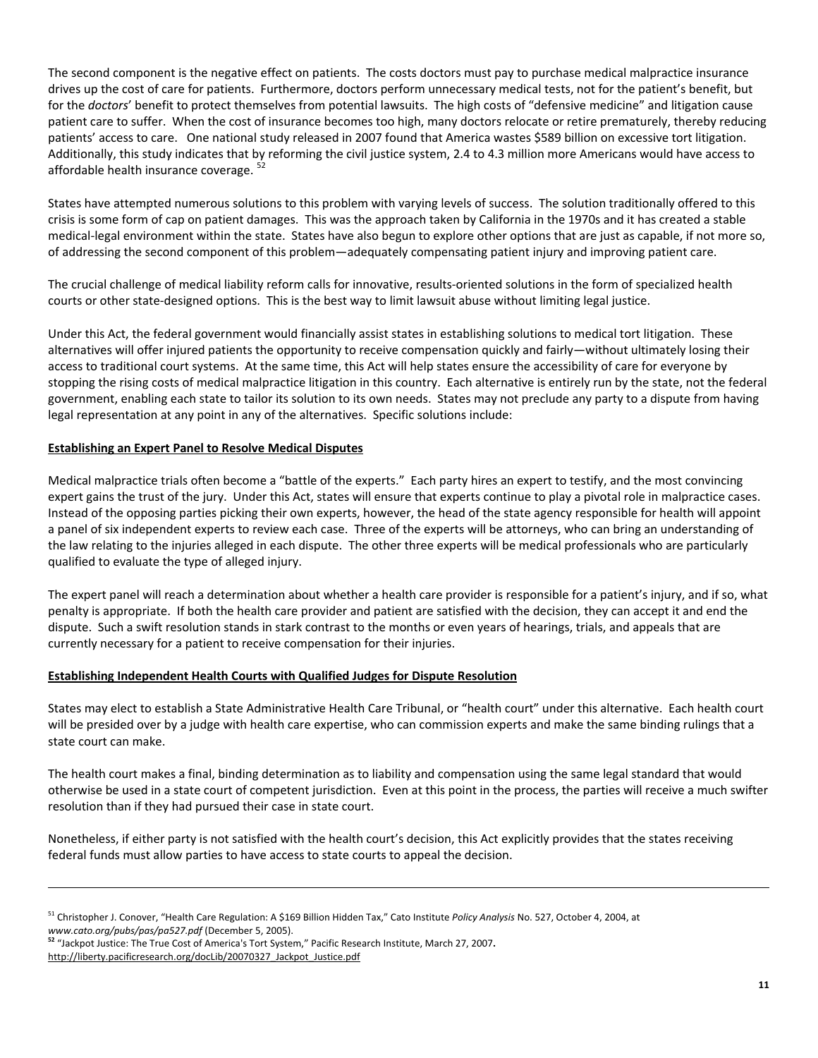The second component is the negative effect on patients. The costs doctors must pay to purchase medical malpractice insurance drives up the cost of care for patients. Furthermore, doctors perform unnecessary medical tests, not for the patient's benefit, but for the *doctors*' benefit to protect themselves from potential lawsuits. The high costs of "defensive medicine" and litigation cause patient care to suffer. When the cost of insurance becomes too high, many doctors relocate or retire prematurely, thereby reducing patients' access to care. One national study released in 2007 found that America wastes \$589 billion on excessive tort litigation. Additionally, this study indicates that by reforming the civil justice system, 2.4 to 4.3 million more Americans would have access to affordable health insurance coverage.  $52$ 

States have attempted numerous solutions to this problem with varying levels of success. The solution traditionally offered to this crisis is some form of cap on patient damages. This was the approach taken by California in the 1970s and it has created a stable medical-legal environment within the state. States have also begun to explore other options that are just as capable, if not more so, of addressing the second component of this problem—adequately compensating patient injury and improving patient care.

The crucial challenge of medical liability reform calls for innovative, results‐oriented solutions in the form of specialized health courts or other state-designed options. This is the best way to limit lawsuit abuse without limiting legal justice.

Under this Act, the federal government would financially assist states in establishing solutions to medical tort litigation. These alternatives will offer injured patients the opportunity to receive compensation quickly and fairly—without ultimately losing their access to traditional court systems. At the same time, this Act will help states ensure the accessibility of care for everyone by stopping the rising costs of medical malpractice litigation in this country. Each alternative is entirely run by the state, not the federal government, enabling each state to tailor its solution to its own needs. States may not preclude any party to a dispute from having legal representation at any point in any of the alternatives. Specific solutions include:

#### **Establishing an Expert Panel to Resolve Medical Disputes**

Medical malpractice trials often become a "battle of the experts." Each party hires an expert to testify, and the most convincing expert gains the trust of the jury. Under this Act, states will ensure that experts continue to play a pivotal role in malpractice cases. Instead of the opposing parties picking their own experts, however, the head of the state agency responsible for health will appoint a panel of six independent experts to review each case. Three of the experts will be attorneys, who can bring an understanding of the law relating to the injuries alleged in each dispute. The other three experts will be medical professionals who are particularly qualified to evaluate the type of alleged injury.

The expert panel will reach a determination about whether a health care provider is responsible for a patient's injury, and if so, what penalty is appropriate. If both the health care provider and patient are satisfied with the decision, they can accept it and end the dispute. Such a swift resolution stands in stark contrast to the months or even years of hearings, trials, and appeals that are currently necessary for a patient to receive compensation for their injuries.

#### **Establishing Independent Health Courts with Qualified Judges for Dispute Resolution**

States may elect to establish a State Administrative Health Care Tribunal, or "health court" under this alternative. Each health court will be presided over by a judge with health care expertise, who can commission experts and make the same binding rulings that a state court can make.

The health court makes a final, binding determination as to liability and compensation using the same legal standard that would otherwise be used in a state court of competent jurisdiction. Even at this point in the process, the parties will receive a much swifter resolution than if they had pursued their case in state court.

Nonetheless, if either party is not satisfied with the health court's decision, this Act explicitly provides that the states receiving federal funds must allow parties to have access to state courts to appeal the decision.

<sup>51</sup> Christopher J. Conover, "Health Care Regulation: A \$169 Billion Hidden Tax," Cato Institute *Policy Analysis* No. 527, October 4, 2004, at *www.cato.org/pubs/pas/pa527.pdf* (December 5, 2005).

**<sup>52</sup>** "Jackpot Justice: The True Cost of America's Tort System," Pacific Research Institute, March 27, 2007**.**  http://liberty.pacificresearch.org/docLib/20070327\_Jackpot\_Justice.pdf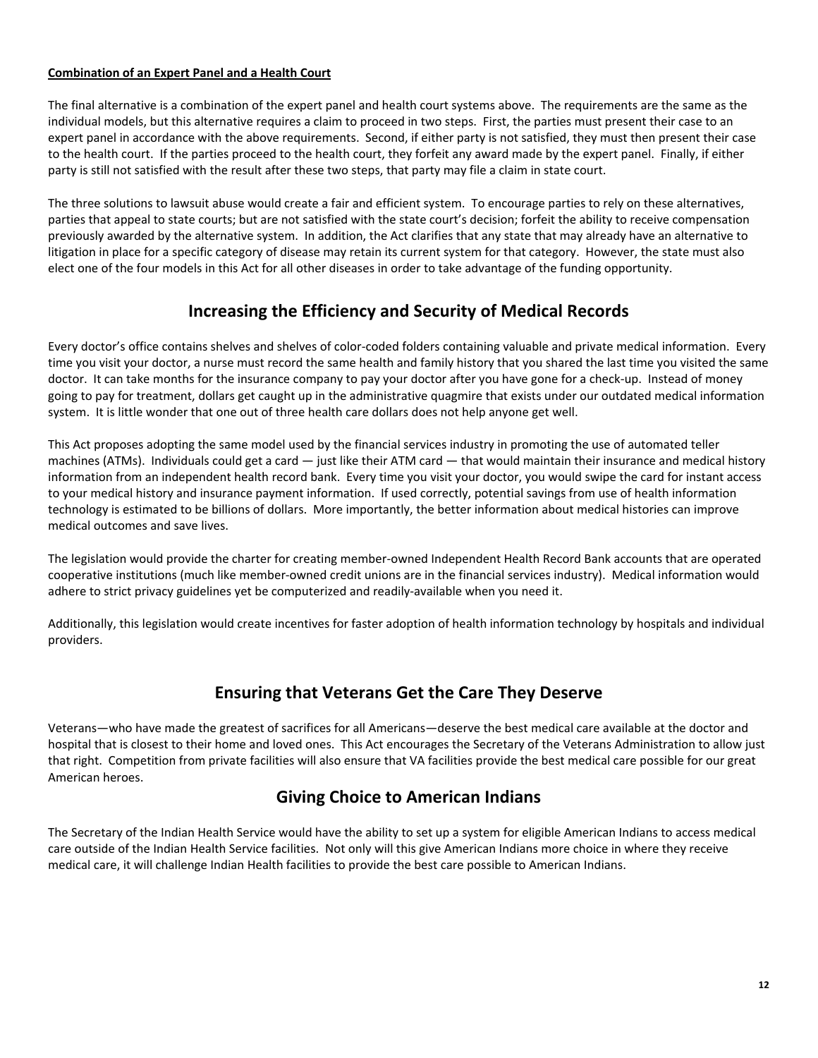### **Combination of an Expert Panel and a Health Court**

The final alternative is a combination of the expert panel and health court systems above. The requirements are the same as the individual models, but this alternative requires a claim to proceed in two steps. First, the parties must present their case to an expert panel in accordance with the above requirements. Second, if either party is not satisfied, they must then present their case to the health court. If the parties proceed to the health court, they forfeit any award made by the expert panel. Finally, if either party is still not satisfied with the result after these two steps, that party may file a claim in state court.

The three solutions to lawsuit abuse would create a fair and efficient system. To encourage parties to rely on these alternatives, parties that appeal to state courts; but are not satisfied with the state court's decision; forfeit the ability to receive compensation previously awarded by the alternative system. In addition, the Act clarifies that any state that may already have an alternative to litigation in place for a specific category of disease may retain its current system for that category. However, the state must also elect one of the four models in this Act for all other diseases in order to take advantage of the funding opportunity.

## **Increasing the Efficiency and Security of Medical Records**

Every doctor's office contains shelves and shelves of color‐coded folders containing valuable and private medical information. Every time you visit your doctor, a nurse must record the same health and family history that you shared the last time you visited the same doctor. It can take months for the insurance company to pay your doctor after you have gone for a check‐up. Instead of money going to pay for treatment, dollars get caught up in the administrative quagmire that exists under our outdated medical information system. It is little wonder that one out of three health care dollars does not help anyone get well.

This Act proposes adopting the same model used by the financial services industry in promoting the use of automated teller machines (ATMs). Individuals could get a card — just like their ATM card — that would maintain their insurance and medical history information from an independent health record bank. Every time you visit your doctor, you would swipe the card for instant access to your medical history and insurance payment information. If used correctly, potential savings from use of health information technology is estimated to be billions of dollars. More importantly, the better information about medical histories can improve medical outcomes and save lives.

The legislation would provide the charter for creating member‐owned Independent Health Record Bank accounts that are operated cooperative institutions (much like member‐owned credit unions are in the financial services industry). Medical information would adhere to strict privacy guidelines yet be computerized and readily-available when you need it.

Additionally, this legislation would create incentives for faster adoption of health information technology by hospitals and individual providers.

## **Ensuring that Veterans Get the Care They Deserve**

Veterans—who have made the greatest of sacrifices for all Americans—deserve the best medical care available at the doctor and hospital that is closest to their home and loved ones. This Act encourages the Secretary of the Veterans Administration to allow just that right. Competition from private facilities will also ensure that VA facilities provide the best medical care possible for our great American heroes.

## **Giving Choice to American Indians**

The Secretary of the Indian Health Service would have the ability to set up a system for eligible American Indians to access medical care outside of the Indian Health Service facilities. Not only will this give American Indians more choice in where they receive medical care, it will challenge Indian Health facilities to provide the best care possible to American Indians.